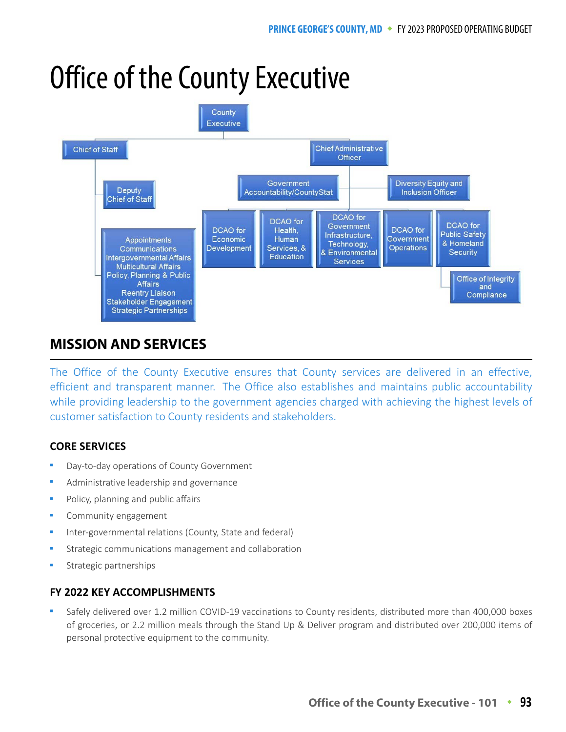# Office of the County Executive



# **MISSION AND SERVICES**

The Office of the County Executive ensures that County services are delivered in an effective, efficient and transparent manner. The Office also establishes and maintains public accountability while providing leadership to the government agencies charged with achieving the highest levels of customer satisfaction to County residents and stakeholders.

## **CORE SERVICES**

- Day-to-day operations of County Government
- Administrative leadership and governance
- Policy, planning and public affairs
- Community engagement
- Inter-governmental relations (County, State and federal)
- Strategic communications management and collaboration
- Strategic partnerships

## **FY 2022 KEY ACCOMPLISHMENTS**

 Safely delivered over 1.2 million COVID-19 vaccinations to County residents, distributed more than 400,000 boxes of groceries, or 2.2 million meals through the Stand Up & Deliver program and distributed over 200,000 items of personal protective equipment to the community.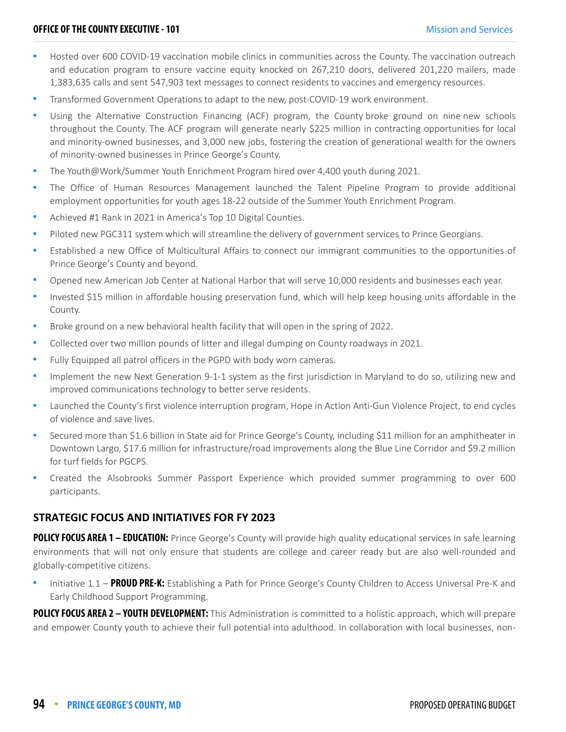- Hosted over 600 COVID-19 vaccination mobile clinics in communities across the County. The vaccination outreach and education program to ensure vaccine equity knocked on 267,210 doors, delivered 201,220 mailers, made 1,383,635 calls and sent 547,903 text messages to connect residents to vaccines and emergency resources.
- Transformed Government Operations to adapt to the new, post-COVID-19 work environment.
- Using the Alternative Construction Financing (ACF) program, the County broke ground on nine new schools throughout the County. The ACF program will generate nearly \$225 million in contracting opportunities for local and minority-owned businesses, and 3,000 new jobs, fostering the creation of generational wealth for the owners of minority-owned businesses in Prince George's County.
- The Youth@Work/Summer Youth Enrichment Program hired over 4,400 youth during 2021.
- The Office of Human Resources Management launched the Talent Pipeline Program to provide additional employment opportunities for youth ages 18-22 outside of the Summer Youth Enrichment Program.
- Achieved #1 Rank in 2021 in America's Top 10 Digital Counties.
- Piloted new PGC311 system which will streamline the delivery of government services to Prince Georgians.
- Established a new Office of Multicultural Affairs to connect our immigrant communities to the opportunities of Prince George's County and beyond.
- Opened new American Job Center at National Harbor that will serve 10,000 residents and businesses each year.
- Invested \$15 million in affordable housing preservation fund, which will help keep housing units affordable in the County.
- Broke ground on a new behavioral health facility that will open in the spring of 2022.
- Collected over two million pounds of litter and illegal dumping on County roadways in 2021.
- Fully Equipped all patrol officers in the PGPD with body worn cameras.
- Implement the new Next Generation 9-1-1 system as the first jurisdiction in Maryland to do so, utilizing new and improved communications technology to better serve residents.
- Launched the County's first violence interruption program, Hope in Action Anti-Gun Violence Project, to end cycles of violence and save lives.
- Secured more than \$1.6 billion in State aid for Prince George's County, including \$11 million for an amphitheater in Downtown Largo, \$17.6 million for infrastructure/road improvements along the Blue Line Corridor and \$9.2 million for turf fields for PGCPS.
- Created the Alsobrooks Summer Passport Experience which provided summer programming to over 600 participants.

#### **STRATEGIC FOCUS AND INITIATIVES FOR FY 2023**

**POLICY FOCUS AREA 1 – EDUCATION:** Prince George's County will provide high quality educational services in safe learning environments that will not only ensure that students are college and career ready but are also well-rounded and globally-competitive citizens.

 Initiative 1.1 – **PROUD PRE-K:** Establishing a Path for Prince George's County Children to Access Universal Pre-K and Early Childhood Support Programming.

**POLICY FOCUS AREA 2 – YOUTH DEVELOPMENT:** This Administration is committed to a holistic approach, which will prepare and empower County youth to achieve their full potential into adulthood. In collaboration with local businesses, non-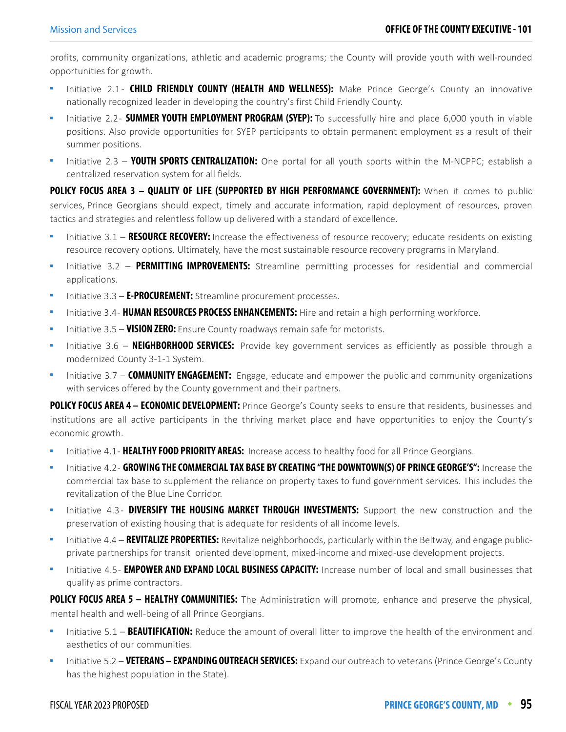profits, community organizations, athletic and academic programs; the County will provide youth with well-rounded opportunities for growth.

- Initiative 2.1 **CHILD FRIENDLY COUNTY (HEALTH AND WELLNESS):** Make Prince George's County an innovative nationally recognized leader in developing the country's first Child Friendly County.
- Initiative 2.2 **SUMMER YOUTH EMPLOYMENT PROGRAM (SYEP):** To successfully hire and place 6,000 youth in viable positions. Also provide opportunities for SYEP participants to obtain permanent employment as a result of their summer positions.
- Initiative 2.3 **YOUTH SPORTS CENTRALIZATION:** One portal for all youth sports within the M-NCPPC; establish a centralized reservation system for all fields.

**POLICY FOCUS AREA 3 - QUALITY OF LIFE (SUPPORTED BY HIGH PERFORMANCE GOVERNMENT):** When it comes to public services, Prince Georgians should expect, timely and accurate information, rapid deployment of resources, proven tactics and strategies and relentless follow up delivered with a standard of excellence.

- Initiative 3.1 **RESOURCE RECOVERY:** Increase the effectiveness of resource recovery; educate residents on existing resource recovery options. Ultimately, have the most sustainable resource recovery programs in Maryland.
- Initiative 3.2 **PERMITTING IMPROVEMENTS:** Streamline permitting processes for residential and commercial applications.
- Initiative 3.3 **E-PROCUREMENT:** Streamline procurement processes.
- Initiative 3.4 **HUMAN RESOURCES PROCESS ENHANCEMENTS:** Hire and retain a high performing workforce.
- Initiative 3.5 **VISION ZERO:** Ensure County roadways remain safe for motorists.
- Initiative 3.6 **NEIGHBORHOOD SERVICES:** Provide key government services as efficiently as possible through a modernized County 3-1-1 System.
- Initiative 3.7 **COMMUNITY ENGAGEMENT:** Engage, educate and empower the public and community organizations with services offered by the County government and their partners.

POLICY FOCUS AREA 4 - ECONOMIC DEVELOPMENT: Prince George's County seeks to ensure that residents, businesses and institutions are all active participants in the thriving market place and have opportunities to enjoy the County's economic growth.

- Initiative 4.1 **HEALTHY FOOD PRIORITY AREAS:** Increase access to healthy food for all Prince Georgians.
- Initiative 4.2 **GROWING THE COMMERCIAL TAX BASE BY CREATING "THE DOWNTOWN(S) OF PRINCE GEORGE'S":** Increase the commercial tax base to supplement the reliance on property taxes to fund government services. This includes the revitalization of the Blue Line Corridor.
- Initiative 4.3 **DIVERSIFY THE HOUSING MARKET THROUGH INVESTMENTS:** Support the new construction and the preservation of existing housing that is adequate for residents of all income levels.
- Initiative 4.4 **REVITALIZE PROPERTIES:** Revitalize neighborhoods, particularly within the Beltway, and engage publicprivate partnerships for transit oriented development, mixed-income and mixed-use development projects.
- Initiative 4.5 **EMPOWER AND EXPAND LOCAL BUSINESS CAPACITY:** Increase number of local and small businesses that qualify as prime contractors.

**POLICY FOCUS AREA 5 – HEALTHY COMMUNITIES:** The Administration will promote, enhance and preserve the physical, mental health and well-being of all Prince Georgians.

- Initiative 5.1 **BEAUTIFICATION:** Reduce the amount of overall litter to improve the health of the environment and aesthetics of our communities.
- Initiative 5.2 **VETERANS EXPANDING OUTREACH SERVICES:** Expand our outreach to veterans (Prince George's County has the highest population in the State).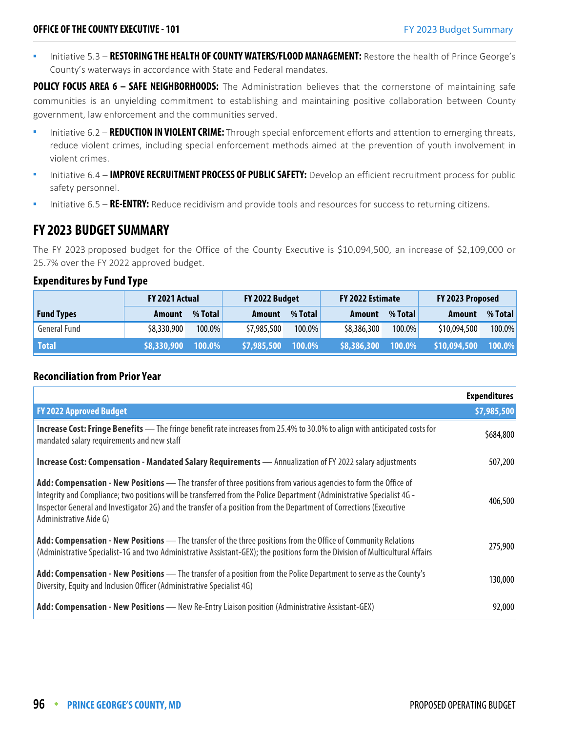Initiative 5.3 – **RESTORING THE HEALTH OF COUNTY WATERS/FLOOD MANAGEMENT:** Restore the health of Prince George's County's waterways in accordance with State and Federal mandates.

POLICY FOCUS AREA 6 - SAFE NEIGHBORHOODS: The Administration believes that the cornerstone of maintaining safe communities is an unyielding commitment to establishing and maintaining positive collaboration between County government, law enforcement and the communities served.

- **Initiative 6.2 REDUCTION IN VIOLENT CRIME:** Through special enforcement efforts and attention to emerging threats, reduce violent crimes, including special enforcement methods aimed at the prevention of youth involvement in violent crimes.
- Initiative 6.4 **IMPROVE RECRUITMENT PROCESS OF PUBLIC SAFETY:** Develop an efficient recruitment process for public safety personnel.
- Initiative 6.5 **RE-ENTRY:** Reduce recidivism and provide tools and resources for success to returning citizens.

## **FY 2023 BUDGET SUMMARY**

The FY 2023 proposed budget for the Office of the County Executive is \$10,094,500, an increase of \$2,109,000 or 25.7% over the FY 2022 approved budget.

#### **Expenditures by Fund Type**

|                   | <b>FY 2021 Actual</b> |           | FY 2022 Budget |           | FY 2022 Estimate |                  | FY 2023 Proposed |         |
|-------------------|-----------------------|-----------|----------------|-----------|------------------|------------------|------------------|---------|
| <b>Fund Types</b> | <b>Amount</b>         | % Total   | Amount         | % Total   | Amount           | % Total          | Amount           | % Total |
| General Fund      | \$8,330,900           | $100.0\%$ | \$7,985,500    | 100.0%    | \$8,386,300      | $100.0\%$        | \$10,094,500     | 100.0%  |
| <b>Total</b>      | \$8,330,900           | 100.0%    | \$7,985,500    | $100.0\%$ | \$8,386,300      | $\sqrt{100.0\%}$ | \$10,094,500     | 100.0%  |

#### **Reconciliation from Prior Year**

|                                                                                                                                                                                                                                                                                                                                                                                            | <b>Expenditures</b> |
|--------------------------------------------------------------------------------------------------------------------------------------------------------------------------------------------------------------------------------------------------------------------------------------------------------------------------------------------------------------------------------------------|---------------------|
| <b>FY 2022 Approved Budget</b>                                                                                                                                                                                                                                                                                                                                                             | \$7,985,500         |
| <b>Increase Cost: Fringe Benefits</b> — The fringe benefit rate increases from 25.4% to 30.0% to align with anticipated costs for<br>mandated salary requirements and new staff                                                                                                                                                                                                            | \$684,800           |
| Increase Cost: Compensation - Mandated Salary Requirements - Annualization of FY 2022 salary adjustments                                                                                                                                                                                                                                                                                   | 507,200             |
| Add: Compensation - New Positions - The transfer of three positions from various agencies to form the Office of<br>Integrity and Compliance; two positions will be transferred from the Police Department (Administrative Specialist 4G -<br>Inspector General and Investigator 2G) and the transfer of a position from the Department of Corrections (Executive<br>Administrative Aide G) | 406,500             |
| Add: Compensation - New Positions - The transfer of the three positions from the Office of Community Relations<br>(Administrative Specialist-1G and two Administrative Assistant-GEX); the positions form the Division of Multicultural Affairs                                                                                                                                            | 275,900             |
| Add: Compensation - New Positions - The transfer of a position from the Police Department to serve as the County's<br>Diversity, Equity and Inclusion Officer (Administrative Specialist 4G)                                                                                                                                                                                               | 130,000             |
| Add: Compensation - New Positions - New Re-Entry Liaison position (Administrative Assistant-GEX)                                                                                                                                                                                                                                                                                           | 92,000              |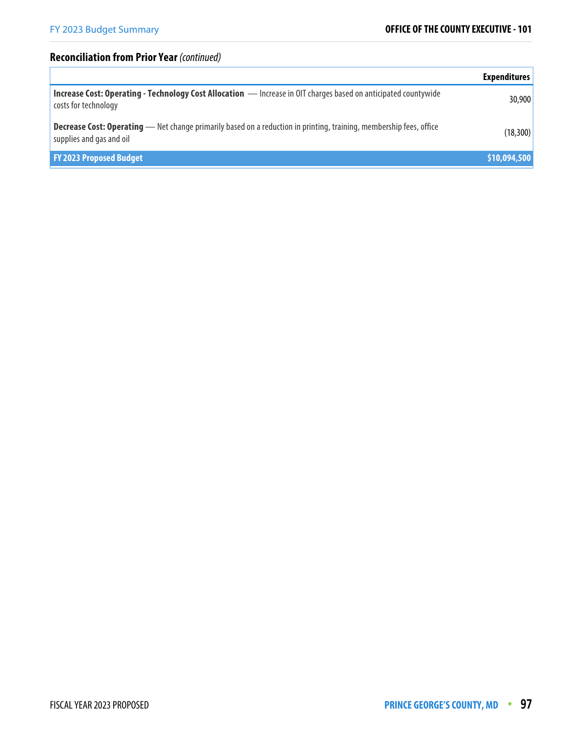## **Reconciliation from Prior Year** (continued)

|                                                                                                                                                        | <b>Expenditures</b> |
|--------------------------------------------------------------------------------------------------------------------------------------------------------|---------------------|
| Increase Cost: Operating - Technology Cost Allocation - Increase in OIT charges based on anticipated countywide<br>costs for technology                | 30,900              |
| <b>Decrease Cost: Operating</b> — Net change primarily based on a reduction in printing, training, membership fees, office<br>supplies and gas and oil | (18, 300)           |
| <b>FY 2023 Proposed Budget</b>                                                                                                                         | \$10,094,500        |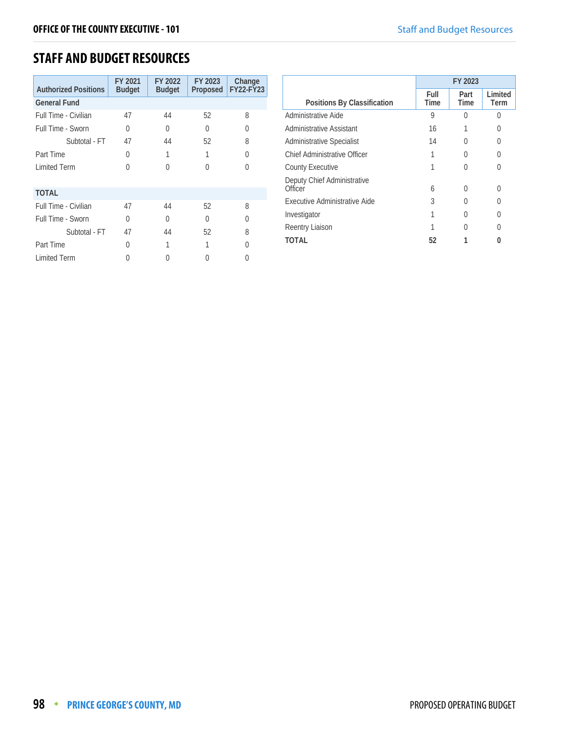# **STAFF AND BUDGET RESOURCES**

| <b>Authorized Positions</b> | FY 2021<br><b>Budget</b> | FY 2022<br><b>Budget</b> | FY 2023<br>Proposed | Change<br><b>FY22-FY23</b> |
|-----------------------------|--------------------------|--------------------------|---------------------|----------------------------|
| <b>General Fund</b>         |                          |                          |                     |                            |
| Full Time - Civilian        | 47                       | 44                       | 52                  | 8                          |
| Full Time - Sworn           | U                        | O                        | 0                   | O                          |
| Subtotal - FT               | 47                       | 44                       | 52                  | 8                          |
| Part Time                   | 0                        | 1                        |                     | <sup>0</sup>               |
| <b>Limited Term</b>         | 0                        | U                        | U                   | U                          |
| <b>TOTAL</b>                |                          |                          |                     |                            |
| Full Time - Civilian        | 47                       | 44                       | 52                  | 8                          |
| Full Time - Sworn           | 0                        | O                        | U                   | <sup>0</sup>               |
| Subtotal - FT               | 47                       | 44                       | 52                  | 8                          |
| Part Time                   | U                        | 1                        |                     | U                          |
| <b>Limited Term</b>         |                          |                          |                     |                            |

|                                        | FY 2023      |              |                 |
|----------------------------------------|--------------|--------------|-----------------|
| Positions By Classification            | Full<br>Time | Part<br>Time | Limited<br>Term |
| Administrative Aide                    | 9            | U            | U               |
| Administrative Assistant               | 16           |              | 0               |
| <b>Administrative Specialist</b>       | 14           | 0            | 0               |
| Chief Administrative Officer           |              |              | U               |
| <b>County Executive</b>                |              | 0            | U               |
| Deputy Chief Administrative<br>Officer | 6            | 0            | U               |
| Executive Administrative Aide          | 3            | 0            | 0               |
| Investigator                           |              | 0            | U               |
| Reentry Liaison                        |              |              |                 |
| TOTAL                                  | 52           |              |                 |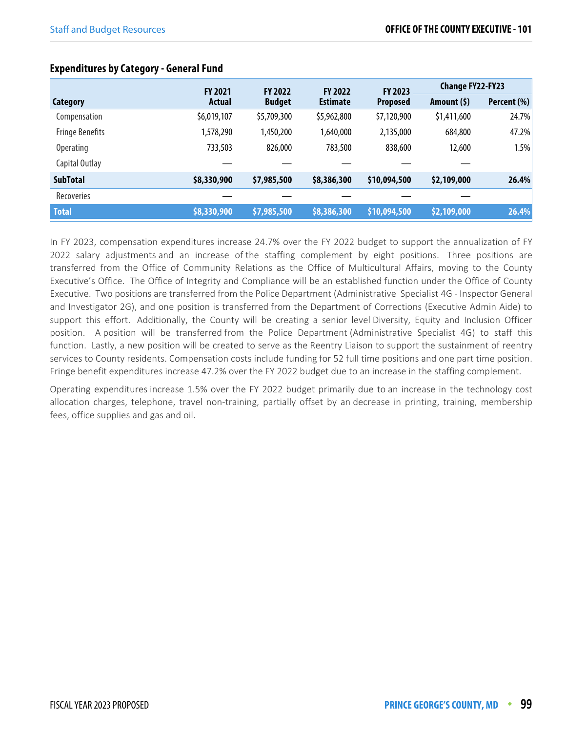|                        | <b>FY 2021</b> | <b>FY 2022</b> | <b>FY 2022</b>  | FY 2023         | <b>Change FY22-FY23</b> |             |
|------------------------|----------------|----------------|-----------------|-----------------|-------------------------|-------------|
| Category               | Actual         | <b>Budget</b>  | <b>Estimate</b> | <b>Proposed</b> | Amount $(5)$            | Percent (%) |
| Compensation           | \$6,019,107    | \$5,709,300    | \$5,962,800     | \$7,120,900     | \$1,411,600             | 24.7%       |
| <b>Fringe Benefits</b> | 1,578,290      | 1,450,200      | 1,640,000       | 2,135,000       | 684,800                 | 47.2%       |
| <b>Operating</b>       | 733,503        | 826,000        | 783,500         | 838,600         | 12,600                  | 1.5%        |
| Capital Outlay         |                |                |                 |                 |                         |             |
| <b>SubTotal</b>        | \$8,330,900    | \$7,985,500    | \$8,386,300     | \$10,094,500    | \$2,109,000             | 26.4%       |
| <b>Recoveries</b>      |                |                |                 |                 |                         |             |
| <b>Total</b>           | \$8,330,900    | \$7,985,500    | \$8,386,300     | \$10,094,500    | \$2,109,000             | 26.4%       |

### **Expenditures by Category - General Fund**

In FY 2023, compensation expenditures increase 24.7% over the FY 2022 budget to support the annualization of FY 2022 salary adjustments and an increase of the staffing complement by eight positions. Three positions are transferred from the Office of Community Relations as the Office of Multicultural Affairs, moving to the County Executive's Office. The Office of Integrity and Compliance will be an established function under the Office of County Executive. Two positions are transferred from the Police Department (Administrative Specialist 4G - Inspector General and Investigator 2G), and one position is transferred from the Department of Corrections (Executive Admin Aide) to support this effort. Additionally, the County will be creating a senior level Diversity, Equity and Inclusion Officer position. A position will be transferred from the Police Department (Administrative Specialist 4G) to staff this function. Lastly, a new position will be created to serve as the Reentry Liaison to support the sustainment of reentry services to County residents. Compensation costs include funding for 52 full time positions and one part time position. Fringe benefit expenditures increase 47.2% over the FY 2022 budget due to an increase in the staffing complement.

Operating expenditures increase 1.5% over the FY 2022 budget primarily due to an increase in the technology cost allocation charges, telephone, travel non-training, partially offset by an decrease in printing, training, membership fees, office supplies and gas and oil.